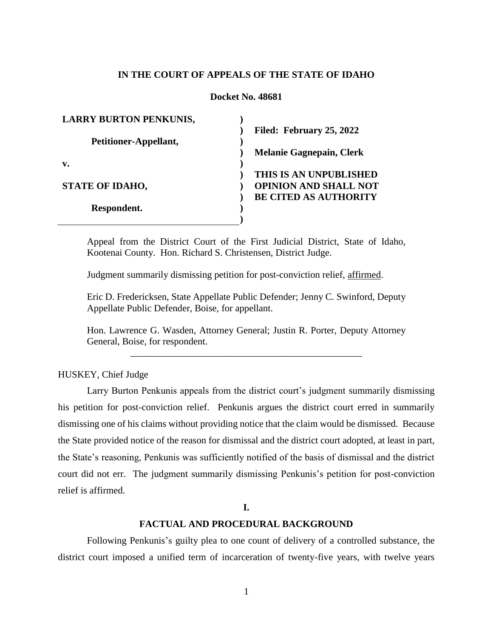## **IN THE COURT OF APPEALS OF THE STATE OF IDAHO**

## **Docket No. 48681**

| <b>LARRY BURTON PENKUNIS,</b> |                                 |
|-------------------------------|---------------------------------|
|                               | Filed: February 25, 2022        |
| Petitioner-Appellant,         |                                 |
|                               | <b>Melanie Gagnepain, Clerk</b> |
| v.                            |                                 |
|                               | THIS IS AN UNPUBLISHED          |
| <b>STATE OF IDAHO,</b>        | <b>OPINION AND SHALL NOT</b>    |
|                               | <b>BE CITED AS AUTHORITY</b>    |
| Respondent.                   |                                 |
|                               |                                 |

Appeal from the District Court of the First Judicial District, State of Idaho, Kootenai County. Hon. Richard S. Christensen, District Judge.

Judgment summarily dismissing petition for post-conviction relief, affirmed.

Eric D. Fredericksen, State Appellate Public Defender; Jenny C. Swinford, Deputy Appellate Public Defender, Boise, for appellant.

Hon. Lawrence G. Wasden, Attorney General; Justin R. Porter, Deputy Attorney General, Boise, for respondent. \_\_\_\_\_\_\_\_\_\_\_\_\_\_\_\_\_\_\_\_\_\_\_\_\_\_\_\_\_\_\_\_\_\_\_\_\_\_\_\_\_\_\_\_\_\_\_\_

HUSKEY, Chief Judge

Larry Burton Penkunis appeals from the district court's judgment summarily dismissing his petition for post-conviction relief. Penkunis argues the district court erred in summarily dismissing one of his claims without providing notice that the claim would be dismissed. Because the State provided notice of the reason for dismissal and the district court adopted, at least in part, the State's reasoning, Penkunis was sufficiently notified of the basis of dismissal and the district court did not err. The judgment summarily dismissing Penkunis's petition for post-conviction relief is affirmed.

#### **I.**

# **FACTUAL AND PROCEDURAL BACKGROUND**

Following Penkunis's guilty plea to one count of delivery of a controlled substance, the district court imposed a unified term of incarceration of twenty-five years, with twelve years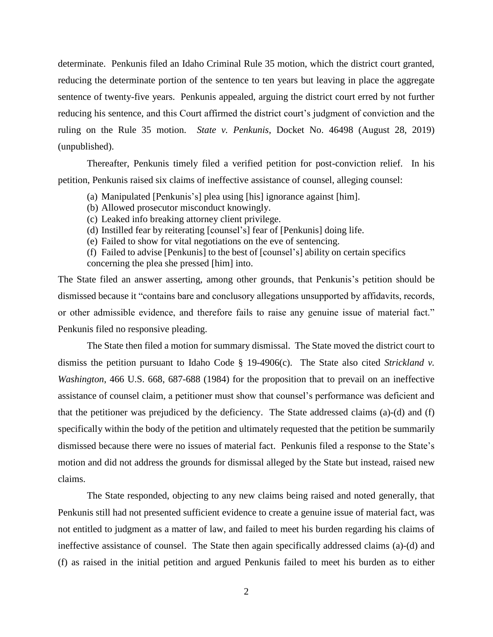determinate. Penkunis filed an Idaho Criminal Rule 35 motion, which the district court granted, reducing the determinate portion of the sentence to ten years but leaving in place the aggregate sentence of twenty-five years. Penkunis appealed, arguing the district court erred by not further reducing his sentence, and this Court affirmed the district court's judgment of conviction and the ruling on the Rule 35 motion. *State v. Penkunis*, Docket No. 46498 (August 28, 2019) (unpublished).

Thereafter, Penkunis timely filed a verified petition for post-conviction relief. In his petition, Penkunis raised six claims of ineffective assistance of counsel, alleging counsel:

- (a) Manipulated [Penkunis's] plea using [his] ignorance against [him].
- (b) Allowed prosecutor misconduct knowingly.
- (c) Leaked info breaking attorney client privilege.
- (d) Instilled fear by reiterating [counsel's] fear of [Penkunis] doing life.
- (e) Failed to show for vital negotiations on the eve of sentencing.
- (f) Failed to advise [Penkunis] to the best of [counsel's] ability on certain specifics concerning the plea she pressed [him] into.

The State filed an answer asserting, among other grounds, that Penkunis's petition should be dismissed because it "contains bare and conclusory allegations unsupported by affidavits, records, or other admissible evidence, and therefore fails to raise any genuine issue of material fact." Penkunis filed no responsive pleading.

The State then filed a motion for summary dismissal. The State moved the district court to dismiss the petition pursuant to Idaho Code § 19-4906(c). The State also cited *Strickland v. Washington*, 466 U.S. 668, 687-688 (1984) for the proposition that to prevail on an ineffective assistance of counsel claim, a petitioner must show that counsel's performance was deficient and that the petitioner was prejudiced by the deficiency. The State addressed claims (a)-(d) and (f) specifically within the body of the petition and ultimately requested that the petition be summarily dismissed because there were no issues of material fact. Penkunis filed a response to the State's motion and did not address the grounds for dismissal alleged by the State but instead, raised new claims.

The State responded, objecting to any new claims being raised and noted generally, that Penkunis still had not presented sufficient evidence to create a genuine issue of material fact, was not entitled to judgment as a matter of law, and failed to meet his burden regarding his claims of ineffective assistance of counsel. The State then again specifically addressed claims (a)-(d) and (f) as raised in the initial petition and argued Penkunis failed to meet his burden as to either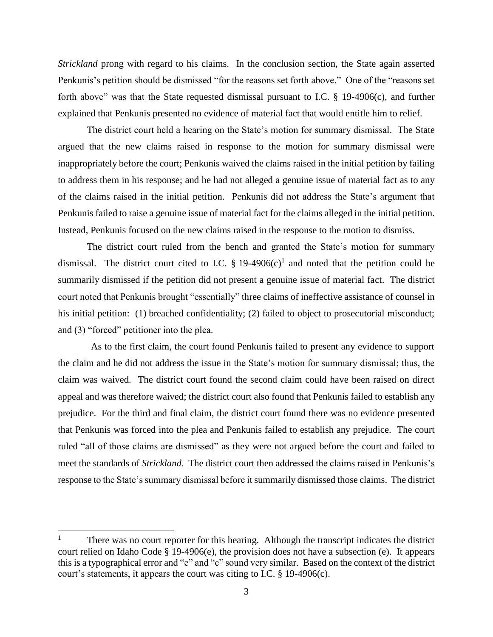*Strickland* prong with regard to his claims. In the conclusion section, the State again asserted Penkunis's petition should be dismissed "for the reasons set forth above." One of the "reasons set forth above" was that the State requested dismissal pursuant to I.C. § 19-4906(c), and further explained that Penkunis presented no evidence of material fact that would entitle him to relief.

The district court held a hearing on the State's motion for summary dismissal. The State argued that the new claims raised in response to the motion for summary dismissal were inappropriately before the court; Penkunis waived the claims raised in the initial petition by failing to address them in his response; and he had not alleged a genuine issue of material fact as to any of the claims raised in the initial petition. Penkunis did not address the State's argument that Penkunis failed to raise a genuine issue of material fact for the claims alleged in the initial petition. Instead, Penkunis focused on the new claims raised in the response to the motion to dismiss.

The district court ruled from the bench and granted the State's motion for summary dismissal. The district court cited to I.C. § 19-4906 $(c)^{1}$  and noted that the petition could be summarily dismissed if the petition did not present a genuine issue of material fact. The district court noted that Penkunis brought "essentially" three claims of ineffective assistance of counsel in his initial petition: (1) breached confidentiality; (2) failed to object to prosecutorial misconduct; and (3) "forced" petitioner into the plea.

 As to the first claim, the court found Penkunis failed to present any evidence to support the claim and he did not address the issue in the State's motion for summary dismissal; thus, the claim was waived. The district court found the second claim could have been raised on direct appeal and was therefore waived; the district court also found that Penkunis failed to establish any prejudice. For the third and final claim, the district court found there was no evidence presented that Penkunis was forced into the plea and Penkunis failed to establish any prejudice. The court ruled "all of those claims are dismissed" as they were not argued before the court and failed to meet the standards of *Strickland*. The district court then addressed the claims raised in Penkunis's response to the State's summary dismissal before it summarily dismissed those claims. The district

 $\overline{a}$ 

 $1$  There was no court reporter for this hearing. Although the transcript indicates the district court relied on Idaho Code § 19-4906(e), the provision does not have a subsection (e). It appears this is a typographical error and "e" and "c" sound very similar. Based on the context of the district court's statements, it appears the court was citing to I.C. § 19-4906(c).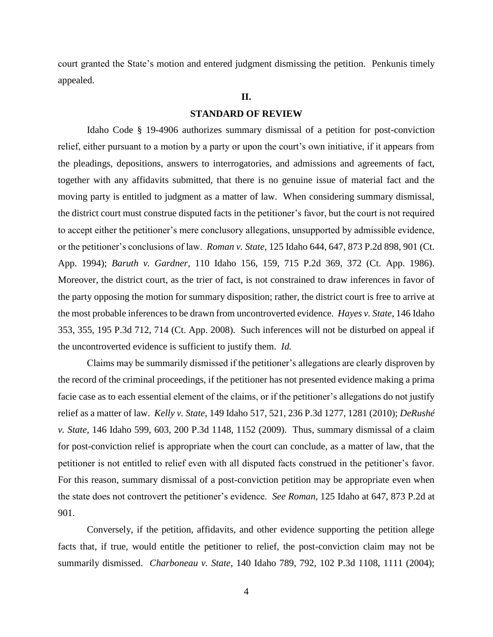court granted the State's motion and entered judgment dismissing the petition. Penkunis timely appealed.

#### **II.**

### **STANDARD OF REVIEW**

Idaho Code § 19-4906 authorizes summary dismissal of a petition for post-conviction relief, either pursuant to a motion by a party or upon the court's own initiative, if it appears from the pleadings, depositions, answers to interrogatories, and admissions and agreements of fact, together with any affidavits submitted, that there is no genuine issue of material fact and the moving party is entitled to judgment as a matter of law. When considering summary dismissal, the district court must construe disputed facts in the petitioner's favor, but the court is not required to accept either the petitioner's mere conclusory allegations, unsupported by admissible evidence, or the petitioner's conclusions of law. *Roman v. State*, 125 Idaho 644, 647, 873 P.2d 898, 901 (Ct. App. 1994); *Baruth v. Gardner*, 110 Idaho 156, 159, 715 P.2d 369, 372 (Ct. App. 1986). Moreover, the district court, as the trier of fact, is not constrained to draw inferences in favor of the party opposing the motion for summary disposition; rather, the district court is free to arrive at the most probable inferences to be drawn from uncontroverted evidence. *Hayes v. State*, 146 Idaho 353, 355, 195 P.3d 712, 714 (Ct. App. 2008). Such inferences will not be disturbed on appeal if the uncontroverted evidence is sufficient to justify them. *Id.*

Claims may be summarily dismissed if the petitioner's allegations are clearly disproven by the record of the criminal proceedings, if the petitioner has not presented evidence making a prima facie case as to each essential element of the claims, or if the petitioner's allegations do not justify relief as a matter of law. *Kelly v. State*, 149 Idaho 517, 521, 236 P.3d 1277, 1281 (2010); *DeRushé v. State*, 146 Idaho 599, 603, 200 P.3d 1148, 1152 (2009). Thus, summary dismissal of a claim for post-conviction relief is appropriate when the court can conclude, as a matter of law, that the petitioner is not entitled to relief even with all disputed facts construed in the petitioner's favor. For this reason, summary dismissal of a post-conviction petition may be appropriate even when the state does not controvert the petitioner's evidence. *See Roman*, 125 Idaho at 647, 873 P.2d at 901.

Conversely, if the petition, affidavits, and other evidence supporting the petition allege facts that, if true, would entitle the petitioner to relief, the post-conviction claim may not be summarily dismissed. *Charboneau v. State*, 140 Idaho 789, 792, 102 P.3d 1108, 1111 (2004);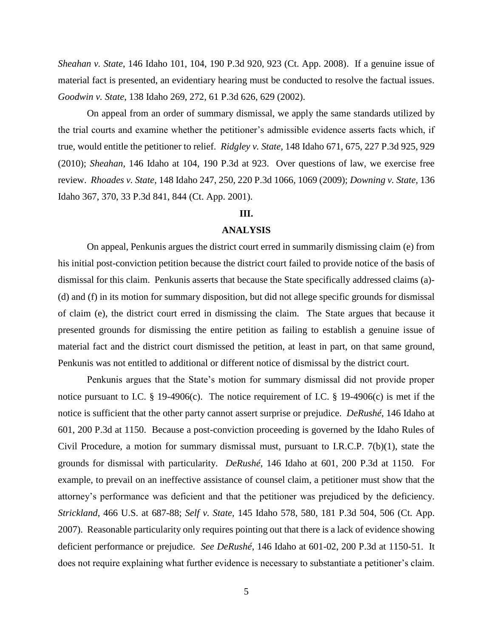*Sheahan v. State*, 146 Idaho 101, 104, 190 P.3d 920, 923 (Ct. App. 2008). If a genuine issue of material fact is presented, an evidentiary hearing must be conducted to resolve the factual issues. *Goodwin v. State*, 138 Idaho 269, 272, 61 P.3d 626, 629 (2002).

On appeal from an order of summary dismissal, we apply the same standards utilized by the trial courts and examine whether the petitioner's admissible evidence asserts facts which, if true, would entitle the petitioner to relief. *Ridgley v. State*, 148 Idaho 671, 675, 227 P.3d 925, 929 (2010); *Sheahan*, 146 Idaho at 104, 190 P.3d at 923. Over questions of law, we exercise free review. *Rhoades v. State*, 148 Idaho 247, 250, 220 P.3d 1066, 1069 (2009); *Downing v. State*, 136 Idaho 367, 370, 33 P.3d 841, 844 (Ct. App. 2001).

## **III.**

### **ANALYSIS**

On appeal, Penkunis argues the district court erred in summarily dismissing claim (e) from his initial post-conviction petition because the district court failed to provide notice of the basis of dismissal for this claim. Penkunis asserts that because the State specifically addressed claims (a)- (d) and (f) in its motion for summary disposition, but did not allege specific grounds for dismissal of claim (e), the district court erred in dismissing the claim. The State argues that because it presented grounds for dismissing the entire petition as failing to establish a genuine issue of material fact and the district court dismissed the petition, at least in part, on that same ground, Penkunis was not entitled to additional or different notice of dismissal by the district court.

Penkunis argues that the State's motion for summary dismissal did not provide proper notice pursuant to I.C. § 19-4906(c). The notice requirement of I.C. § 19-4906(c) is met if the notice is sufficient that the other party cannot assert surprise or prejudice. *DeRushé*, 146 Idaho at 601, 200 P.3d at 1150. Because a post-conviction proceeding is governed by the Idaho Rules of Civil Procedure, a motion for summary dismissal must, pursuant to I.R.C.P. 7(b)(1), state the grounds for dismissal with particularity. *DeRushé*, 146 Idaho at 601, 200 P.3d at 1150. For example, to prevail on an ineffective assistance of counsel claim, a petitioner must show that the attorney's performance was deficient and that the petitioner was prejudiced by the deficiency. *Strickland*, 466 U.S. at 687-88; *Self v. State*, 145 Idaho 578, 580, 181 P.3d 504, 506 (Ct. App. 2007). Reasonable particularity only requires pointing out that there is a lack of evidence showing deficient performance or prejudice. *See DeRushé*, 146 Idaho at 601-02, 200 P.3d at 1150-51. It does not require explaining what further evidence is necessary to substantiate a petitioner's claim.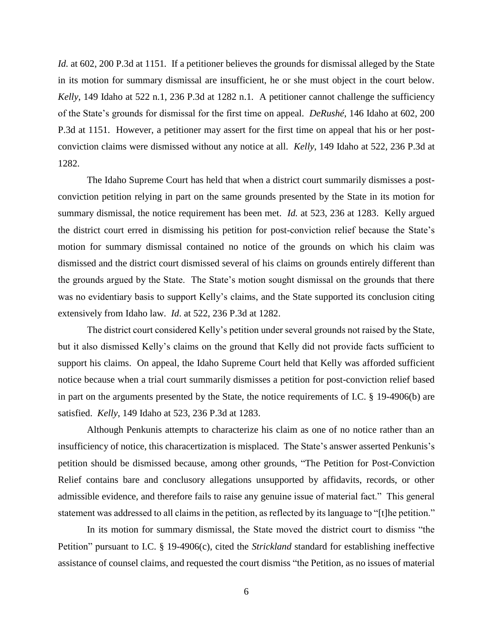*Id.* at 602, 200 P.3d at 1151. If a petitioner believes the grounds for dismissal alleged by the State in its motion for summary dismissal are insufficient, he or she must object in the court below. *Kelly*, 149 Idaho at 522 n.1, 236 P.3d at 1282 n.1. A petitioner cannot challenge the sufficiency of the State's grounds for dismissal for the first time on appeal. *DeRushé*, 146 Idaho at 602, 200 P.3d at 1151. However, a petitioner may assert for the first time on appeal that his or her postconviction claims were dismissed without any notice at all. *Kelly*, 149 Idaho at 522, 236 P.3d at 1282.

The Idaho Supreme Court has held that when a district court summarily dismisses a postconviction petition relying in part on the same grounds presented by the State in its motion for summary dismissal, the notice requirement has been met. *Id.* at 523, 236 at 1283. Kelly argued the district court erred in dismissing his petition for post-conviction relief because the State's motion for summary dismissal contained no notice of the grounds on which his claim was dismissed and the district court dismissed several of his claims on grounds entirely different than the grounds argued by the State. The State's motion sought dismissal on the grounds that there was no evidentiary basis to support Kelly's claims, and the State supported its conclusion citing extensively from Idaho law. *Id*. at 522, 236 P.3d at 1282.

The district court considered Kelly's petition under several grounds not raised by the State, but it also dismissed Kelly's claims on the ground that Kelly did not provide facts sufficient to support his claims. On appeal, the Idaho Supreme Court held that Kelly was afforded sufficient notice because when a trial court summarily dismisses a petition for post-conviction relief based in part on the arguments presented by the State, the notice requirements of I.C. § 19-4906(b) are satisfied. *Kelly*, 149 Idaho at 523, 236 P.3d at 1283.

Although Penkunis attempts to characterize his claim as one of no notice rather than an insufficiency of notice, this characertization is misplaced. The State's answer asserted Penkunis's petition should be dismissed because, among other grounds, "The Petition for Post-Conviction Relief contains bare and conclusory allegations unsupported by affidavits, records, or other admissible evidence, and therefore fails to raise any genuine issue of material fact." This general statement was addressed to all claims in the petition, as reflected by its language to "[t]he petition."

In its motion for summary dismissal, the State moved the district court to dismiss "the Petition" pursuant to I.C. § 19-4906(c), cited the *Strickland* standard for establishing ineffective assistance of counsel claims, and requested the court dismiss "the Petition, as no issues of material